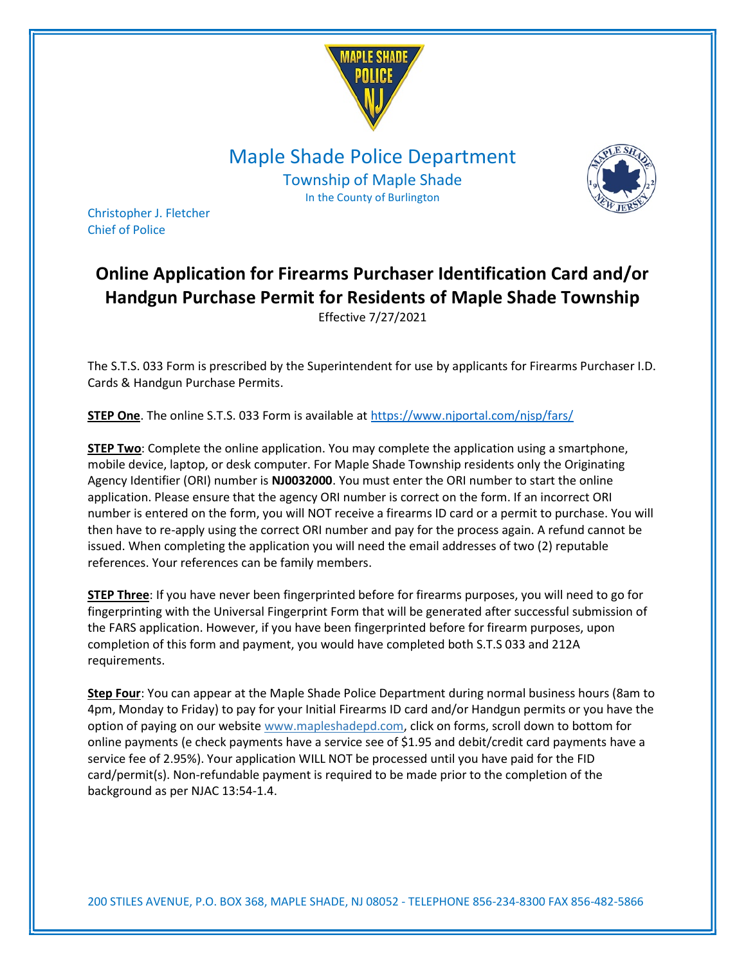

Maple Shade Police Department

Township of Maple Shade In the County of Burlington



Christopher J. Fletcher Chief of Police

## Online Application for Firearms Purchaser Identification Card and/or Handgun Purchase Permit for Residents of Maple Shade Township Effective 7/27/2021

The S.T.S. 033 Form is prescribed by the Superintendent for use by applicants for Firearms Purchaser I.D. Cards & Handgun Purchase Permits.

STEP One. The online S.T.S. 033 Form is available at https://www.njportal.com/njsp/fars/

STEP Two: Complete the online application. You may complete the application using a smartphone, mobile device, laptop, or desk computer. For Maple Shade Township residents only the Originating Agency Identifier (ORI) number is NJ0032000. You must enter the ORI number to start the online application. Please ensure that the agency ORI number is correct on the form. If an incorrect ORI number is entered on the form, you will NOT receive a firearms ID card or a permit to purchase. You will then have to re-apply using the correct ORI number and pay for the process again. A refund cannot be issued. When completing the application you will need the email addresses of two (2) reputable references. Your references can be family members.

STEP Three: If you have never been fingerprinted before for firearms purposes, you will need to go for fingerprinting with the Universal Fingerprint Form that will be generated after successful submission of the FARS application. However, if you have been fingerprinted before for firearm purposes, upon completion of this form and payment, you would have completed both S.T.S 033 and 212A requirements.

Step Four: You can appear at the Maple Shade Police Department during normal business hours (8am to 4pm, Monday to Friday) to pay for your Initial Firearms ID card and/or Handgun permits or you have the option of paying on our website www.mapleshadepd.com, click on forms, scroll down to bottom for online payments (e check payments have a service see of \$1.95 and debit/credit card payments have a service fee of 2.95%). Your application WILL NOT be processed until you have paid for the FID card/permit(s). Non-refundable payment is required to be made prior to the completion of the background as per NJAC 13:54-1.4.

200 STILES AVENUE, P.O. BOX 368, MAPLE SHADE, NJ 08052 - TELEPHONE 856-234-8300 FAX 856-482-5866